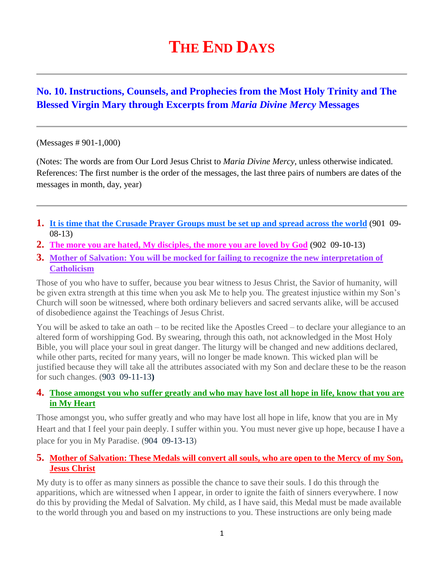# **THE END DAYS**

# **No. 10. Instructions, Counsels, and Prophecies from the Most Holy Trinity and The Blessed Virgin Mary through Excerpts from** *Maria Divine Mercy* **Messages**

#### (Messages # 901-1,000)

(Notes: The words are from Our Lord Jesus Christ to *Maria Divine Mercy*, unless otherwise indicated. References: The first number is the order of the messages, the last three pairs of numbers are dates of the messages in month, day, year)

- **1. [It is time that the Crusade Prayer Groups must be set up and spread across the world](http://www.thewarningsecondcoming.com/it-is-time-that-the-crusade-prayer-groups-must-be-set-up-and-spread-across-the-world/)** (901 09- 08-13)
- **2. [The more you are hated, My disciples, the more you are loved by God](http://www.thewarningsecondcoming.com/the-more-you-are-hated-my-disciples-the-more-you-are-loved-by-god/)** (902 09-10-13)
- **3. [Mother of Salvation: You will be mocked for failing to recognize the new interpretation of](http://www.thewarningsecondcoming.com/mother-of-salvation-you-will-be-mocked-for-failing-to-recognise-the-new-interpretation-of-catholicism/)  [Catholicism](http://www.thewarningsecondcoming.com/mother-of-salvation-you-will-be-mocked-for-failing-to-recognise-the-new-interpretation-of-catholicism/)**

Those of you who have to suffer, because you bear witness to Jesus Christ, the Savior of humanity, will be given extra strength at this time when you ask Me to help you. The greatest injustice within my Son's Church will soon be witnessed, where both ordinary believers and sacred servants alike, will be accused of disobedience against the Teachings of Jesus Christ.

You will be asked to take an oath – to be recited like the Apostles Creed – to declare your allegiance to an altered form of worshipping God. By swearing, through this oath, not acknowledged in the Most Holy Bible, you will place your soul in great danger. The liturgy will be changed and new additions declared, while other parts, recited for many years, will no longer be made known. This wicked plan will be justified because they will take all the attributes associated with my Son and declare these to be the reason for such changes. (903 09-11-13**)**

#### **4. [Those amongst you who suffer greatly and who may have lost all hope in life, know that you are](http://www.thewarningsecondcoming.com/those-amongst-you-who-suffer-greatly-and-who-may-have-lost-all-hope-in-life-know-that-you-are-in-my-heart/)  [in My Heart](http://www.thewarningsecondcoming.com/those-amongst-you-who-suffer-greatly-and-who-may-have-lost-all-hope-in-life-know-that-you-are-in-my-heart/)**

Those amongst you, who suffer greatly and who may have lost all hope in life, know that you are in My Heart and that I feel your pain deeply. I suffer within you. You must never give up hope, because I have a place for you in My Paradise. (904 09-13-13)

#### **5. [Mother of Salvation: These Medals will convert all souls, who are open to the Mercy of my Son,](http://www.thewarningsecondcoming.com/mother-of-salvation-these-medals-will-convert-all-souls-who-are-open-to-the-mercy-of-my-son-jesus-christ/)  [Jesus Christ](http://www.thewarningsecondcoming.com/mother-of-salvation-these-medals-will-convert-all-souls-who-are-open-to-the-mercy-of-my-son-jesus-christ/)**

My duty is to offer as many sinners as possible the chance to save their souls. I do this through the apparitions, which are witnessed when I appear, in order to ignite the faith of sinners everywhere. I now do this by providing the Medal of Salvation. My child, as I have said, this Medal must be made available to the world through you and based on my instructions to you. These instructions are only being made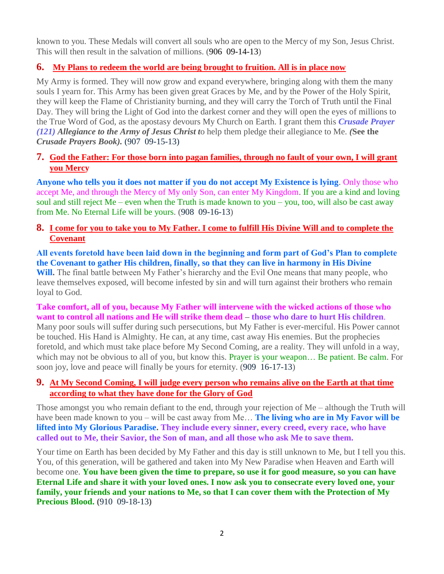known to you. These Medals will convert all souls who are open to the Mercy of my Son, Jesus Christ. This will then result in the salvation of millions. (906 09-14-13)

# **6. [My Plans to redeem the world are being brought to fruition. All is in place now](http://www.thewarningsecondcoming.com/my-plans-to-redeem-the-world-are-being-brought-to-fruition-all-is-in-place-now/)**

My Army is formed. They will now grow and expand everywhere, bringing along with them the many souls I yearn for. This Army has been given great Graces by Me, and by the Power of the Holy Spirit, they will keep the Flame of Christianity burning, and they will carry the Torch of Truth until the Final Day. They will bring the Light of God into the darkest corner and they will open the eyes of millions to the True Word of God, as the apostasy devours My Church on Earth. I grant them this *Crusade Prayer (121) Allegiance to the Army of Jesus Christ t*o help them pledge their allegiance to Me. *(***See the** *Crusade Prayers Book).* (907 09-15-13)

## **7. [God the Father: For those born into pagan families, through no fault of your own, I will grant](http://www.thewarningsecondcoming.com/god-the-father-for-those-born-into-pagan-families-and-through-no-fault-of-your-own-i-will-grant-you-mercy/)  [you Mercy](http://www.thewarningsecondcoming.com/god-the-father-for-those-born-into-pagan-families-and-through-no-fault-of-your-own-i-will-grant-you-mercy/)**

**Anyone who tells you it does not matter if you do not accept My Existence is lying**. Only those who accept Me, and through the Mercy of My only Son, can enter My Kingdom. If you are a kind and loving soul and still reject Me – even when the Truth is made known to you – you, too, will also be cast away from Me. No Eternal Life will be yours. (908 09-16-13)

## **8. [I come for you to take you to My Father. I come to fulfill His Divine Will and to complete the](http://www.thewarningsecondcoming.com/i-come-for-you-to-take-you-to-my-father-i-come-to-fulfill-his-divine-will-and-to-complete-the-covenant/)  [Covenant](http://www.thewarningsecondcoming.com/i-come-for-you-to-take-you-to-my-father-i-come-to-fulfill-his-divine-will-and-to-complete-the-covenant/)**

**All events foretold have been laid down in the beginning and form part of God's Plan to complete the Covenant to gather His children, finally, so that they can live in harmony in His Divine Will.** The final battle between My Father's hierarchy and the Evil One means that many people, who leave themselves exposed, will become infested by sin and will turn against their brothers who remain loyal to God.

#### **Take comfort, all of you, because My Father will intervene with the wicked actions of those who want to control all nations and He will strike them dead – those who dare to hurt His children**.

Many poor souls will suffer during such persecutions, but My Father is ever-merciful. His Power cannot be touched. His Hand is Almighty. He can, at any time, cast away His enemies. But the prophecies foretold, and which must take place before My Second Coming, are a reality. They will unfold in a way, which may not be obvious to all of you, but know this. Prayer is your weapon... Be patient. Be calm. For soon joy, love and peace will finally be yours for eternity. (909 16-17-13)

## **9. [At My Second Coming, I will judge every person who remains alive on the Earth at that time](http://www.thewarningsecondcoming.com/at-my-second-coming-i-will-judge-every-person-who-remains-alive-on-the-earth-at-that-time-according-to-what-they-have-done-for-the-glory-of-god/)  [according to what they have done for the Glory of God](http://www.thewarningsecondcoming.com/at-my-second-coming-i-will-judge-every-person-who-remains-alive-on-the-earth-at-that-time-according-to-what-they-have-done-for-the-glory-of-god/)**

Those amongst you who remain defiant to the end, through your rejection of Me – although the Truth will have been made known to you – will be cast away from Me… **The living who are in My Favor will be lifted into My Glorious Paradise. They include every sinner, every creed, every race, who have called out to Me, their Savior, the Son of man, and all those who ask Me to save them.**

Your time on Earth has been decided by My Father and this day is still unknown to Me, but I tell you this. You, of this generation, will be gathered and taken into My New Paradise when Heaven and Earth will become one. **You have been given the time to prepare, so use it for good measure, so you can have Eternal Life and share it with your loved ones. I now ask you to consecrate every loved one, your family, your friends and your nations to Me, so that I can cover them with the Protection of My Precious Blood. (**910 09-18-13**)**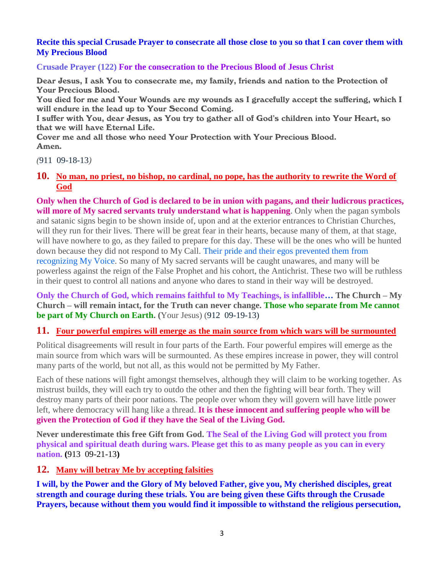#### **[Recite this special Crusade Prayer to consecrate all those close to you so that I can cover them with](http://www.thewarningsecondcoming.com/recite-this-special-crusade-prayer-to-consecrate-all-those-close-to-you-so-that-i-can-cover-them-with-my-precious-blood/)  [My Precious Blood](http://www.thewarningsecondcoming.com/recite-this-special-crusade-prayer-to-consecrate-all-those-close-to-you-so-that-i-can-cover-them-with-my-precious-blood/)**

**Crusade Prayer (122) For the consecration to the Precious Blood of Jesus Christ**

Dear Jesus, I ask You to consecrate me, my family, friends and nation to the Protection of Your Precious Blood.

You died for me and Your Wounds are my wounds as I gracefully accept the suffering, which I will endure in the lead up to Your Second Coming.

I suffer with You, dear Jesus, as You try to gather all of God's children into Your Heart, so that we will have Eternal Life.

Cover me and all those who need Your Protection with Your Precious Blood. Amen.

*(*911 09-18-13*)*

**10. [No man, no priest, no bishop, no cardinal, no pope, has the authority to rewrite the Word of](http://www.thewarningsecondcoming.com/no-man-no-priest-no-bishop-no-cardinal-no-pope-has-the-authority-to-re-write-the-word-of-god/)  [God](http://www.thewarningsecondcoming.com/no-man-no-priest-no-bishop-no-cardinal-no-pope-has-the-authority-to-re-write-the-word-of-god/)**

**Only when the Church of God is declared to be in union with pagans, and their ludicrous practices, will more of My sacred servants truly understand what is happening**. Only when the pagan symbols and satanic signs begin to be shown inside of, upon and at the exterior entrances to Christian Churches, will they run for their lives. There will be great fear in their hearts, because many of them, at that stage, will have nowhere to go, as they failed to prepare for this day. These will be the ones who will be hunted down because they did not respond to My Call. Their pride and their egos prevented them from recognizing My Voice. So many of My sacred servants will be caught unawares, and many will be powerless against the reign of the False Prophet and his cohort, the Antichrist. These two will be ruthless in their quest to control all nations and anyone who dares to stand in their way will be destroyed.

**Only the Church of God, which remains faithful to My Teachings, is infallible… The Church – My Church – will remain intact, for the Truth can never change. Those who separate from Me cannot be part of My Church on Earth. (**Your Jesus) (912 09-19-13)

#### **11. Four [powerful empires will emerge as the main source from which wars will be surmounted](http://www.thewarningsecondcoming.com/four-powerful-empires-will-emerge-as-the-main-source-from-which-wars-will-be-surmounted/)**

Political disagreements will result in four parts of the Earth. Four powerful empires will emerge as the main source from which wars will be surmounted. As these empires increase in power, they will control many parts of the world, but not all, as this would not be permitted by My Father.

Each of these nations will fight amongst themselves, although they will claim to be working together. As mistrust builds, they will each try to outdo the other and then the fighting will bear forth. They will destroy many parts of their poor nations. The people over whom they will govern will have little power left, where democracy will hang like a thread. **It is these innocent and suffering people who will be given the Protection of God if they have the Seal of the Living God.**

**Never underestimate this free Gift from God. The Seal of the Living God will protect you from physical and spiritual death during wars. Please get this to as many people as you can in every nation. (**913 09-21-13**)**

#### **12. [Many will betray Me by accepting falsities](http://www.thewarningsecondcoming.com/many-will-betray-me-by-accepting-falsities/)**

**I will, by the Power and the Glory of My beloved Father, give you, My cherished disciples, great strength and courage during these trials. You are being given these Gifts through the Crusade Prayers, because without them you would find it impossible to withstand the religious persecution,**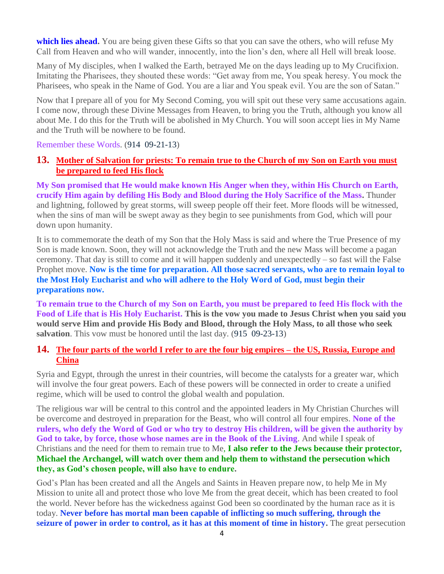**which lies ahead.** You are being given these Gifts so that you can save the others, who will refuse My Call from Heaven and who will wander, innocently, into the lion's den, where all Hell will break loose.

Many of My disciples, when I walked the Earth, betrayed Me on the days leading up to My Crucifixion. Imitating the Pharisees, they shouted these words: "Get away from me, You speak heresy. You mock the Pharisees, who speak in the Name of God. You are a liar and You speak evil. You are the son of Satan."

Now that I prepare all of you for My Second Coming, you will spit out these very same accusations again. I come now, through these Divine Messages from Heaven, to bring you the Truth, although you know all about Me. I do this for the Truth will be abolished in My Church. You will soon accept lies in My Name and the Truth will be nowhere to be found.

Remember these Words. (914 09-21-13)

#### **13. [Mother of Salvation for priests: To remain true to the Church of my Son on Earth you must](http://www.thewarningsecondcoming.com/mother-of-salvation-for-priests-to-remain-true-to-the-church-of-my-son-on-earth-you-must-be-prepared-to-feed-his-flock/)  [be prepared to feed His flock](http://www.thewarningsecondcoming.com/mother-of-salvation-for-priests-to-remain-true-to-the-church-of-my-son-on-earth-you-must-be-prepared-to-feed-his-flock/)**

**My Son promised that He would make known His Anger when they, within His Church on Earth, crucify Him again by defiling His Body and Blood during the Holy Sacrifice of the Mass.** Thunder and lightning, followed by great storms, will sweep people off their feet. More floods will be witnessed, when the sins of man will be swept away as they begin to see punishments from God, which will pour down upon humanity.

It is to commemorate the death of my Son that the Holy Mass is said and where the True Presence of my Son is made known. Soon, they will not acknowledge the Truth and the new Mass will become a pagan ceremony. That day is still to come and it will happen suddenly and unexpectedly – so fast will the False Prophet move. **Now is the time for preparation. All those sacred servants, who are to remain loyal to the Most Holy Eucharist and who will adhere to the Holy Word of God, must begin their preparations now.**

**To remain true to the Church of my Son on Earth, you must be prepared to feed His flock with the Food of Life that is His Holy Eucharist. This is the vow you made to Jesus Christ when you said you would serve Him and provide His Body and Blood, through the Holy Mass, to all those who seek salvation**. This vow must be honored until the last day. (915 09-23-13)

## **14. [The four parts of the world I refer to are the four big empires –](http://www.thewarningsecondcoming.com/the-four-parts-of-the-world-i-refer-to-are-the-four-biggest-empires-the-us-russia-europe-and-china/) the US, Russia, Europe and [China](http://www.thewarningsecondcoming.com/the-four-parts-of-the-world-i-refer-to-are-the-four-biggest-empires-the-us-russia-europe-and-china/)**

Syria and Egypt, through the unrest in their countries, will become the catalysts for a greater war, which will involve the four great powers. Each of these powers will be connected in order to create a unified regime, which will be used to control the global wealth and population.

The religious war will be central to this control and the appointed leaders in My Christian Churches will be overcome and destroyed in preparation for the Beast, who will control all four empires. **None of the rulers, who defy the Word of God or who try to destroy His children, will be given the authority by God to take, by force, those whose names are in the Book of the Living**. And while I speak of Christians and the need for them to remain true to Me, **I also refer to the Jews because their protector, Michael the Archangel, will watch over them and help them to withstand the persecution which they, as God's chosen people, will also have to endure.**

God's Plan has been created and all the Angels and Saints in Heaven prepare now, to help Me in My Mission to unite all and protect those who love Me from the great deceit, which has been created to fool the world. Never before has the wickedness against God been so coordinated by the human race as it is today. **Never before has mortal man been capable of inflicting so much suffering, through the seizure of power in order to control, as it has at this moment of time in history.** The great persecution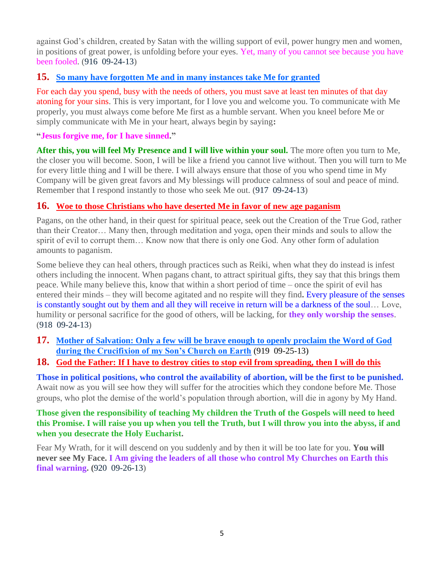against God's children, created by Satan with the willing support of evil, power hungry men and women, in positions of great power, is unfolding before your eyes. Yet, many of you cannot see because you have been fooled. (916 09-24-13)

# **15. [So many have forgotten Me and in many instances take Me for granted](http://www.thewarningsecondcoming.com/so-many-have-forgotten-me-and-in-many-instances-take-me-for-granted/)**

For each day you spend, busy with the needs of others, you must save at least ten minutes of that day atoning for your sins. This is very important, for I love you and welcome you. To communicate with Me properly, you must always come before Me first as a humble servant. When you kneel before Me or simply communicate with Me in your heart, always begin by saying**:**

## **"Jesus forgive me, for I have sinned."**

**After this, you will feel My Presence and I will live within your soul.** The more often you turn to Me, the closer you will become. Soon, I will be like a friend you cannot live without. Then you will turn to Me for every little thing and I will be there. I will always ensure that those of you who spend time in My Company will be given great favors and My blessings will produce calmness of soul and peace of mind. Remember that I respond instantly to those who seek Me out. (917 09-24-13)

# **16. [Woe to those Christians who have deserted Me in favor of new age paganism](http://www.thewarningsecondcoming.com/woe-to-those-christians-who-have-deserted-me-in-favour-of-new-age-paganism/)**

Pagans, on the other hand, in their quest for spiritual peace, seek out the Creation of the True God, rather than their Creator… Many then, through meditation and yoga, open their minds and souls to allow the spirit of evil to corrupt them… Know now that there is only one God. Any other form of adulation amounts to paganism.

Some believe they can heal others, through practices such as Reiki, when what they do instead is infest others including the innocent. When pagans chant, to attract spiritual gifts, they say that this brings them peace. While many believe this, know that within a short period of time – once the spirit of evil has entered their minds – they will become agitated and no respite will they find**.** Every pleasure of the senses is constantly sought out by them and all they will receive in return will be a darkness of the soul… Love, humility or personal sacrifice for the good of others, will be lacking, for **they only worship the senses**. (918 09-24-13)

**17. [Mother of Salvation: Only a few will be brave enough to openly proclaim the Word of God](http://www.thewarningsecondcoming.com/only-a-few-will-be-brave-enough-to-openly-proclaim-the-word-of-god-during-the-crucifixion-of-my-sons-church-on-earth-oo/)  [during the Crucifixion of my Son's Church on Earth](http://www.thewarningsecondcoming.com/only-a-few-will-be-brave-enough-to-openly-proclaim-the-word-of-god-during-the-crucifixion-of-my-sons-church-on-earth-oo/)** (919 09-25-13)

# **18. [God the Father: If I have to destroy cities to stop evil from spreading, then I will do this](http://www.thewarningsecondcoming.com/god-the-father-if-i-have-to-destroy-cities-to-stop-evil-from-spreading-then-i-will-do-this/)**

**Those in political positions, who control the availability of abortion, will be the first to be punished.**  Await now as you will see how they will suffer for the atrocities which they condone before Me. Those groups, who plot the demise of the world's population through abortion, will die in agony by My Hand.

**Those given the responsibility of teaching My children the Truth of the Gospels will need to heed this Promise. I will raise you up when you tell the Truth, but I will throw you into the abyss, if and when you desecrate the Holy Eucharist.**

Fear My Wrath, for it will descend on you suddenly and by then it will be too late for you. **You will never see My Face. I Am giving the leaders of all those who control My Churches on Earth this final warning. (**920 09-26-13)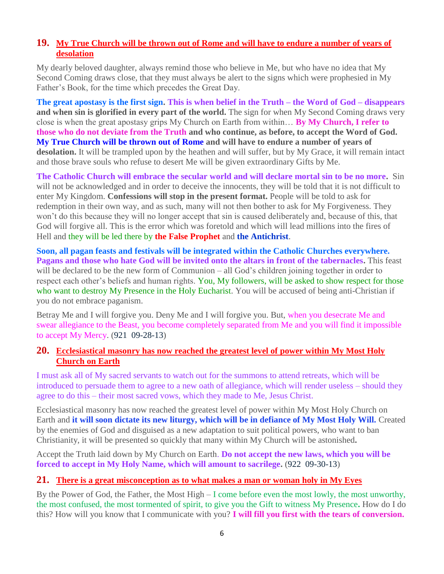# **19. [My True Church will be thrown out of Rome and will have to endure a number of years of](http://www.thewarningsecondcoming.com/my-true-church-will-be-thrown-out-of-rome-and-will-have-to-endure-a-number-of-years-of-desolation/)  [desolation](http://www.thewarningsecondcoming.com/my-true-church-will-be-thrown-out-of-rome-and-will-have-to-endure-a-number-of-years-of-desolation/)**

My dearly beloved daughter, always remind those who believe in Me, but who have no idea that My Second Coming draws close, that they must always be alert to the signs which were prophesied in My Father's Book, for the time which precedes the Great Day.

**The great apostasy is the first sign. This is when belief in the Truth – the Word of God – disappears and when sin is glorified in every part of the world.** The sign for when My Second Coming draws very close is when the great apostasy grips My Church on Earth from within… **By My Church, I refer to those who do not deviate from the Truth and who continue, as before, to accept the Word of God. My True Church will be thrown out of Rome and will have to endure a number of years of desolation.** It will be trampled upon by the heathen and will suffer, but by My Grace, it will remain intact and those brave souls who refuse to desert Me will be given extraordinary Gifts by Me.

**The Catholic Church will embrace the secular world and will declare mortal sin to be no more.** Sin will not be acknowledged and in order to deceive the innocents, they will be told that it is not difficult to enter My Kingdom. **Confessions will stop in the present format.** People will be told to ask for redemption in their own way, and as such, many will not then bother to ask for My Forgiveness. They won't do this because they will no longer accept that sin is caused deliberately and, because of this, that God will forgive all. This is the error which was foretold and which will lead millions into the fires of Hell and they will be led there by **the False Prophet** and **the Antichrist**.

**Soon, all pagan feasts and festivals will be integrated within the Catholic Churches everywhere. Pagans and those who hate God will be invited onto the altars in front of the tabernacles.** This feast will be declared to be the new form of Communion – all God's children joining together in order to respect each other's beliefs and human rights. You, My followers, will be asked to show respect for those who want to destroy My Presence in the Holy Eucharist. You will be accused of being anti-Christian if you do not embrace paganism.

Betray Me and I will forgive you. Deny Me and I will forgive you. But, when you desecrate Me and swear allegiance to the Beast, you become completely separated from Me and you will find it impossible to accept My Mercy. (921 09-28-13)

#### **20. [Ecclesiastical masonry has now reached the greatest level of power within My Most Holy](http://www.thewarningsecondcoming.com/ecclesiastical-masonry-has-now-reached-the-greatest-level-of-power-within-my-most-holy-church-on-earth/)  [Church on Earth](http://www.thewarningsecondcoming.com/ecclesiastical-masonry-has-now-reached-the-greatest-level-of-power-within-my-most-holy-church-on-earth/)**

I must ask all of My sacred servants to watch out for the summons to attend retreats, which will be introduced to persuade them to agree to a new oath of allegiance, which will render useless – should they agree to do this – their most sacred vows, which they made to Me, Jesus Christ.

Ecclesiastical masonry has now reached the greatest level of power within My Most Holy Church on Earth and **it will soon dictate its new liturgy, which will be in defiance of My Most Holy Will.** Created by the enemies of God and disguised as a new adaptation to suit political powers, who want to ban Christianity, it will be presented so quickly that many within My Church will be astonished**.**

Accept the Truth laid down by My Church on Earth. **Do not accept the new laws, which you will be forced to accept in My Holy Name, which will amount to sacrilege.** (922 09-30-13)

# **21. [There is a great misconception as to what makes a man or woman holy in My Eyes](http://www.thewarningsecondcoming.com/there-is-a-great-misconception-as-to-what-makes-a-man-or-woman-holy-in-my-eyes/)**

By the Power of God, the Father, the Most High – I come before even the most lowly, the most unworthy, the most confused, the most tormented of spirit, to give you the Gift to witness My Presence**.** How do I do this? How will you know that I communicate with you? **I will fill you first with the tears of conversion.**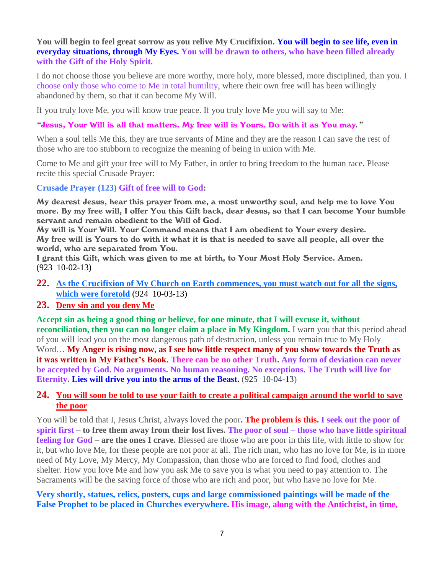#### **You will begin to feel great sorrow as you relive My Crucifixion. You will begin to see life, even in everyday situations, through My Eyes. You will be drawn to others, who have been filled already with the Gift of the Holy Spirit.**

I do not choose those you believe are more worthy, more holy, more blessed, more disciplined, than you. I choose only those who come to Me in total humility, where their own free will has been willingly abandoned by them, so that it can become My Will.

If you truly love Me, you will know true peace. If you truly love Me you will say to Me:

#### *"*Jesus, Your Will is all that matters. My free will is Yours. Do with it as You may*."*

When a soul tells Me this, they are true servants of Mine and they are the reason I can save the rest of those who are too stubborn to recognize the meaning of being in union with Me.

Come to Me and gift your free will to My Father, in order to bring freedom to the human race. Please recite this special Crusade Prayer:

**Crusade Prayer (123) Gift of free will to God:**

My dearest Jesus, hear this prayer from me, a most unworthy soul, and help me to love You more. By my free will, I offer You this Gift back, dear Jesus, so that I can become Your humble servant and remain obedient to the Will of God.

My will is Your Will. Your Command means that I am obedient to Your every desire. My free will is Yours to do with it what it is that is needed to save all people, all over the world, who are separated from You.

I grant this Gift, which was given to me at birth, to Your Most Holy Service. Amen. (923 10-02-13)

- **22. [As the Crucifixion of My Church on Earth commences, you must watch out for all the signs,](http://www.thewarningsecondcoming.com/as-the-crucifixion-of-my-church-on-earth-commences-you-must-watch-out-for-all-the-signs-which-were-foretold/)  [which were foretold](http://www.thewarningsecondcoming.com/as-the-crucifixion-of-my-church-on-earth-commences-you-must-watch-out-for-all-the-signs-which-were-foretold/)** (924 10-03-13)
- **23. [Deny sin and you deny Me](http://www.thewarningsecondcoming.com/deny-sin-and-you-deny-me/)**

**Accept sin as being a good thing or believe, for one minute, that I will excuse it, without reconciliation, then you can no longer claim a place in My Kingdom.** I warn you that this period ahead of you will lead you on the most dangerous path of destruction, unless you remain true to My Holy Word… **My Anger is rising now, as I see how little respect many of you show towards the Truth as it was written in My Father's Book. There can be no other Truth. Any form of deviation can never be accepted by God. No arguments. No human reasoning. No exceptions. The Truth will live for Eternity. Lies will drive you into the arms of the Beast.** (925 10-04-13)

## **24. [You will soon be told to use your faith to create a political campaign around the world to save](http://www.thewarningsecondcoming.com/you-will-soon-be-told-to-use-your-faith-to-create-a-political-campaign-around-the-world-to-save-the-poor/)  [the poor](http://www.thewarningsecondcoming.com/you-will-soon-be-told-to-use-your-faith-to-create-a-political-campaign-around-the-world-to-save-the-poor/)**

You will be told that I, Jesus Christ, always loved the poor**. The problem is this. I seek out the poor of spirit first – to free them away from their lost lives. The poor of soul – those who have little spiritual feeling for God – are the ones I crave.** Blessed are those who are poor in this life, with little to show for it, but who love Me, for these people are not poor at all. The rich man, who has no love for Me, is in more need of My Love, My Mercy, My Compassion, than those who are forced to find food, clothes and shelter. How you love Me and how you ask Me to save you is what you need to pay attention to. The Sacraments will be the saving force of those who are rich and poor, but who have no love for Me.

#### **Very shortly, statues, relics, posters, cups and large commissioned paintings will be made of the False Prophet to be placed in Churches everywhere. His image, along with the Antichrist, in time,**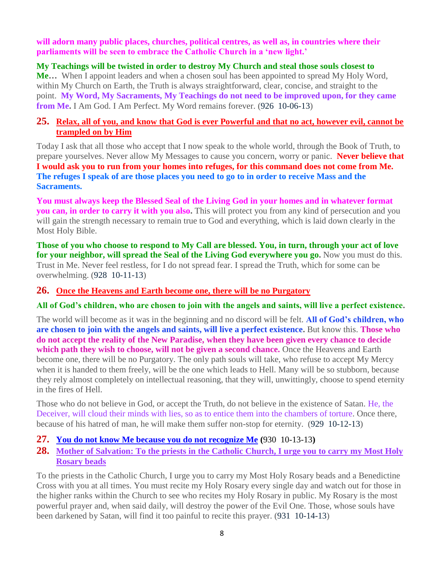**will adorn many public places, churches, political centres, as well as, in countries where their parliaments will be seen to embrace the Catholic Church in a 'new light.'**

**My Teachings will be twisted in order to destroy My Church and steal those souls closest to** 

**Me…** When I appoint leaders and when a chosen soul has been appointed to spread My Holy Word, within My Church on Earth, the Truth is always straightforward, clear, concise, and straight to the point. **My Word, My Sacraments, My Teachings do not need to be improved upon, for they came from Me.** I Am God. I Am Perfect. My Word remains forever. (926 10-06-13)

#### **25. [Relax, all of you, and know that God is ever Powerful and that no act, however evil, cannot be](http://www.thewarningsecondcoming.com/relax-all-of-you-and-know-that-god-is-ever-powerful-and-that-no-act-however-evil-cannot-be-trampled-on-by-him/)  [trampled on by Him](http://www.thewarningsecondcoming.com/relax-all-of-you-and-know-that-god-is-ever-powerful-and-that-no-act-however-evil-cannot-be-trampled-on-by-him/)**

Today I ask that all those who accept that I now speak to the whole world, through the Book of Truth, to prepare yourselves. Never allow My Messages to cause you concern, worry or panic. **Never believe that I would ask you to run from your homes into refuges, for this command does not come from Me. The refuges I speak of are those places you need to go to in order to receive Mass and the Sacraments.**

**You must always keep the Blessed Seal of the Living God in your homes and in whatever format you can, in order to carry it with you also.** This will protect you from any kind of persecution and you will gain the strength necessary to remain true to God and everything, which is laid down clearly in the Most Holy Bible.

**Those of you who choose to respond to My Call are blessed. You, in turn, through your act of love for your neighbor, will spread the Seal of the Living God everywhere you go.** Now you must do this. Trust in Me. Never feel restless, for I do not spread fear. I spread the Truth, which for some can be overwhelming. (928 10-11-13)

#### **26. [Once the Heavens and Earth become one, there will](http://www.thewarningsecondcoming.com/once-the-heavens-and-earth-become-one-there-will-be-no-purgatory/) be no Purgatory**

**All of God's children, who are chosen to join with the angels and saints, will live a perfect existence.**

The world will become as it was in the beginning and no discord will be felt. **All of God's children, who are chosen to join with the angels and saints, will live a perfect existence.** But know this. **Those who do not accept the reality of the New Paradise, when they have been given every chance to decide which path they wish to choose, will not be given a second chance.** Once the Heavens and Earth become one, there will be no Purgatory. The only path souls will take, who refuse to accept My Mercy when it is handed to them freely, will be the one which leads to Hell. Many will be so stubborn, because they rely almost completely on intellectual reasoning, that they will, unwittingly, choose to spend eternity in the fires of Hell.

Those who do not believe in God, or accept the Truth, do not believe in the existence of Satan. He, the Deceiver, will cloud their minds with lies, so as to entice them into the chambers of torture. Once there, because of his hatred of man, he will make them suffer non-stop for eternity. (929 10-12-13)

# **27. [You do not know Me because you do not recognize Me](http://www.thewarningsecondcoming.com/you-do-not-know-me-because-you-do-not-recognise-me/) (**930 10-13-13**)**

**28. [Mother of Salvation: To the priests in the Catholic Church, I urge you to carry my Most Holy](http://www.thewarningsecondcoming.com/mother-of-salvation-to-the-priests-in-the-catholic-church-i-urge-you-to-carry-my-most-holy-rosary-beads/)  [Rosary beads](http://www.thewarningsecondcoming.com/mother-of-salvation-to-the-priests-in-the-catholic-church-i-urge-you-to-carry-my-most-holy-rosary-beads/)**

To the priests in the Catholic Church, I urge you to carry my Most Holy Rosary beads and a Benedictine Cross with you at all times. You must recite my Holy Rosary every single day and watch out for those in the higher ranks within the Church to see who recites my Holy Rosary in public. My Rosary is the most powerful prayer and, when said daily, will destroy the power of the Evil One. Those, whose souls have been darkened by Satan, will find it too painful to recite this prayer. (931 10-14-13)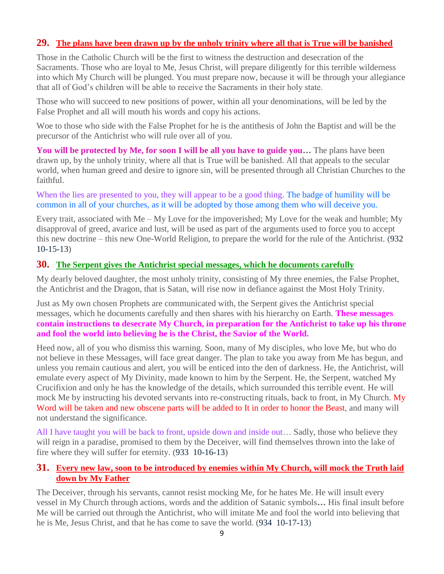# **29. [The plans have been drawn up by the unholy trinity where all that is True will be banished](http://www.thewarningsecondcoming.com/the-plans-have-been-drawn-up-by-the-unholy-trinity-where-all-that-is-true-will-be-banished/)**

Those in the Catholic Church will be the first to witness the destruction and desecration of the Sacraments. Those who are loyal to Me, Jesus Christ, will prepare diligently for this terrible wilderness into which My Church will be plunged. You must prepare now, because it will be through your allegiance that all of God's children will be able to receive the Sacraments in their holy state.

Those who will succeed to new positions of power, within all your denominations, will be led by the False Prophet and all will mouth his words and copy his actions.

Woe to those who side with the False Prophet for he is the antithesis of John the Baptist and will be the precursor of the Antichrist who will rule over all of you.

**You will be protected by Me, for soon I will be all you have to guide you…** The plans have been drawn up, by the unholy trinity, where all that is True will be banished. All that appeals to the secular world, when human greed and desire to ignore sin, will be presented through all Christian Churches to the faithful.

When the lies are presented to you, they will appear to be a good thing. The badge of humility will be common in all of your churches, as it will be adopted by those among them who will deceive you.

Every trait, associated with Me – My Love for the impoverished; My Love for the weak and humble; My disapproval of greed, avarice and lust, will be used as part of the arguments used to force you to accept this new doctrine – this new One-World Religion, to prepare the world for the rule of the Antichrist. (932 10-15-13)

#### **30. [The Serpent gives the Antichrist special messages, which he documents carefully](http://www.thewarningsecondcoming.com/the-serpent-gives-the-antichrist-special-messages-which-he-documents-carefully/)**

My dearly beloved daughter, the most unholy trinity, consisting of My three enemies, the False Prophet, the Antichrist and the Dragon, that is Satan, will rise now in defiance against the Most Holy Trinity.

Just as My own chosen Prophets are communicated with, the Serpent gives the Antichrist special messages, which he documents carefully and then shares with his hierarchy on Earth. **These messages contain instructions to desecrate My Church, in preparation for the Antichrist to take up his throne and fool the world into believing he is the Christ, the Savior of the World.**

Heed now, all of you who dismiss this warning. Soon, many of My disciples, who love Me, but who do not believe in these Messages, will face great danger. The plan to take you away from Me has begun, and unless you remain cautious and alert, you will be enticed into the den of darkness. He, the Antichrist, will emulate every aspect of My Divinity, made known to him by the Serpent. He, the Serpent, watched My Crucifixion and only he has the knowledge of the details, which surrounded this terrible event. He will mock Me by instructing his devoted servants into re-constructing rituals, back to front, in My Church. My Word will be taken and new obscene parts will be added to It in order to honor the Beast, and many will not understand the significance.

All I have taught you will be back to front, upside down and inside out… Sadly, those who believe they will reign in a paradise, promised to them by the Deceiver, will find themselves thrown into the lake of fire where they will suffer for eternity. (933 10-16-13)

#### **31. [Every new law, soon to be introduced by enemies within My Church, will mock the Truth laid](http://www.thewarningsecondcoming.com/every-new-law-soon-to-be-introduced-by-enemies-within-my-church-will-mock-the-truth-laid-down-by-my-father/)  [down by My Father](http://www.thewarningsecondcoming.com/every-new-law-soon-to-be-introduced-by-enemies-within-my-church-will-mock-the-truth-laid-down-by-my-father/)**

The Deceiver, through his servants, cannot resist mocking Me, for he hates Me. He will insult every vessel in My Church through actions, words and the addition of Satanic symbols**…** His final insult before Me will be carried out through the Antichrist, who will imitate Me and fool the world into believing that he is Me, Jesus Christ, and that he has come to save the world. (934 10-17-13)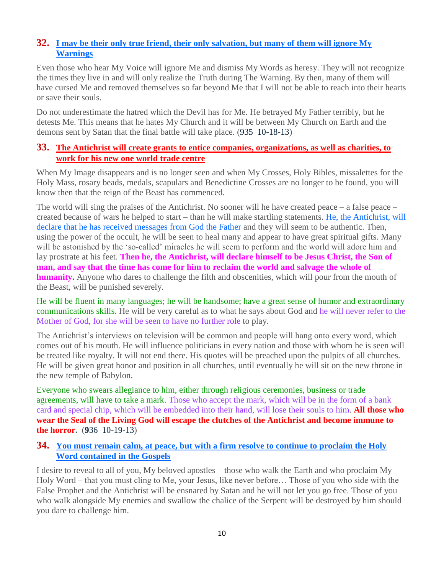# **32. [I may be their only true friend, their only salvation, but many of them will ignore My](http://www.thewarningsecondcoming.com/i-may-be-their-only-true-friend-their-only-salvation-but-many-of-them-will-ignore-my-warnings/)  [Warnings](http://www.thewarningsecondcoming.com/i-may-be-their-only-true-friend-their-only-salvation-but-many-of-them-will-ignore-my-warnings/)**

Even those who hear My Voice will ignore Me and dismiss My Words as heresy. They will not recognize the times they live in and will only realize the Truth during The Warning. By then, many of them will have cursed Me and removed themselves so far beyond Me that I will not be able to reach into their hearts or save their souls.

Do not underestimate the hatred which the Devil has for Me. He betrayed My Father terribly, but he detests Me. This means that he hates My Church and it will be between My Church on Earth and the demons sent by Satan that the final battle will take place. (935 10-18-13)

## **33. [The Antichrist will create grants to entice companies, organizations, as well as charities, to](http://www.thewarningsecondcoming.com/the-antichrist-will-create-grants-to-entice-companies-organisations-as-well-as-charities-to-work-for-his-new-one-world-trade-centre/)  [work for his new one world trade centre](http://www.thewarningsecondcoming.com/the-antichrist-will-create-grants-to-entice-companies-organisations-as-well-as-charities-to-work-for-his-new-one-world-trade-centre/)**

When My Image disappears and is no longer seen and when My Crosses, Holy Bibles, missalettes for the Holy Mass, rosary beads, medals, scapulars and Benedictine Crosses are no longer to be found, you will know then that the reign of the Beast has commenced.

The world will sing the praises of the Antichrist. No sooner will he have created peace – a false peace – created because of wars he helped to start – than he will make startling statements. He, the Antichrist, will declare that he has received messages from God the Father and they will seem to be authentic. Then, using the power of the occult, he will be seen to heal many and appear to have great spiritual gifts. Many will be astonished by the 'so-called' miracles he will seem to perform and the world will adore him and lay prostrate at his feet. **Then he, the Antichrist, will declare himself to be Jesus Christ, the Son of man, and say that the time has come for him to reclaim the world and salvage the whole of humanity.** Anyone who dares to challenge the filth and obscenities, which will pour from the mouth of the Beast, will be punished severely.

He will be fluent in many languages; he will be handsome; have a great sense of humor and extraordinary communications skills. He will be very careful as to what he says about God and he will never refer to the Mother of God, for she will be seen to have no further role to play.

The Antichrist's interviews on television will be common and people will hang onto every word, which comes out of his mouth. He will influence politicians in every nation and those with whom he is seen will be treated like royalty. It will not end there. His quotes will be preached upon the pulpits of all churches. He will be given great honor and position in all churches, until eventually he will sit on the new throne in the new temple of Babylon.

Everyone who swears allegiance to him, either through religious ceremonies, business or trade agreements, will have to take a mark. Those who accept the mark, which will be in the form of a bank card and special chip, which will be embedded into their hand, will lose their souls to him. **All those who wear the Seal of the Living God will escape the clutches of the Antichrist and become immune to the horror.** (**9**36 10-19-13)

#### **34. [You must remain calm, at peace, but with a firm resolve to continue to proclaim the Holy](http://www.thewarningsecondcoming.com/you-must-remain-calm-at-peace-but-with-a-firm-resolve-to-continue-to-proclaim-the-holy-word-contained-in-the-gospels/)  [Word contained in the Gospels](http://www.thewarningsecondcoming.com/you-must-remain-calm-at-peace-but-with-a-firm-resolve-to-continue-to-proclaim-the-holy-word-contained-in-the-gospels/)**

I desire to reveal to all of you, My beloved apostles – those who walk the Earth and who proclaim My Holy Word – that you must cling to Me, your Jesus, like never before… Those of you who side with the False Prophet and the Antichrist will be ensnared by Satan and he will not let you go free. Those of you who walk alongside My enemies and swallow the chalice of the Serpent will be destroyed by him should you dare to challenge him.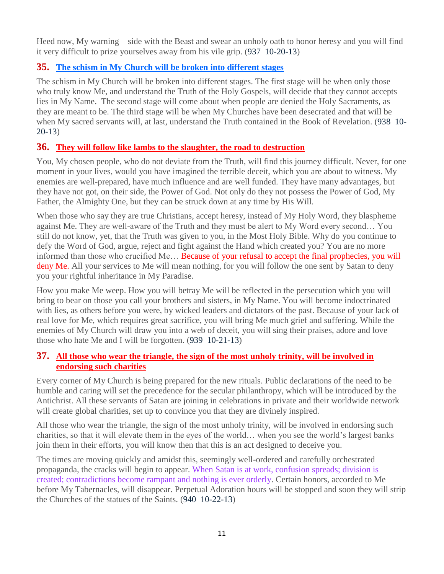Heed now, My warning – side with the Beast and swear an unholy oath to honor heresy and you will find it very difficult to prize yourselves away from his vile grip. (937 10-20-13)

# **35. [The schism in My Church will be broken into different stages](http://www.thewarningsecondcoming.com/the-schism-in-my-church-will-be-broken-into-different-stages/)**

The schism in My Church will be broken into different stages. The first stage will be when only those who truly know Me, and understand the Truth of the Holy Gospels, will decide that they cannot accepts lies in My Name. The second stage will come about when people are denied the Holy Sacraments, as they are meant to be. The third stage will be when My Churches have been desecrated and that will be when My sacred servants will, at last, understand the Truth contained in the Book of Revelation. (938 10- 20-13)

# **36. [They will follow like lambs to the slaughter, the road to destruction](http://www.thewarningsecondcoming.com/they-will-follow-like-lambs-to-the-slaughter-the-road-to-destruction/)**

You, My chosen people, who do not deviate from the Truth, will find this journey difficult. Never, for one moment in your lives, would you have imagined the terrible deceit, which you are about to witness. My enemies are well-prepared, have much influence and are well funded. They have many advantages, but they have not got, on their side, the Power of God. Not only do they not possess the Power of God, My Father, the Almighty One, but they can be struck down at any time by His Will.

When those who say they are true Christians, accept heresy, instead of My Holy Word, they blaspheme against Me. They are well-aware of the Truth and they must be alert to My Word every second… You still do not know, yet, that the Truth was given to you, in the Most Holy Bible. Why do you continue to defy the Word of God, argue, reject and fight against the Hand which created you? You are no more informed than those who crucified Me… Because of your refusal to accept the final prophecies, you will deny Me. All your services to Me will mean nothing, for you will follow the one sent by Satan to deny you your rightful inheritance in My Paradise.

How you make Me weep. How you will betray Me will be reflected in the persecution which you will bring to bear on those you call your brothers and sisters, in My Name. You will become indoctrinated with lies, as others before you were, by wicked leaders and dictators of the past. Because of your lack of real love for Me, which requires great sacrifice, you will bring Me much grief and suffering. While the enemies of My Church will draw you into a web of deceit, you will sing their praises, adore and love those who hate Me and I will be forgotten. (939 10-21-13)

# **37. [All those who wear the triangle, the sign of the most unholy trinity, will be involved in](http://www.thewarningsecondcoming.com/all-those-who-wear-the-triangle-the-sign-of-the-most-unholy-trinity-will-be-involved-in-endorsing-such-charities-2/)  [endorsing such charities](http://www.thewarningsecondcoming.com/all-those-who-wear-the-triangle-the-sign-of-the-most-unholy-trinity-will-be-involved-in-endorsing-such-charities-2/)**

Every corner of My Church is being prepared for the new rituals. Public declarations of the need to be humble and caring will set the precedence for the secular philanthropy, which will be introduced by the Antichrist. All these servants of Satan are joining in celebrations in private and their worldwide network will create global charities, set up to convince you that they are divinely inspired.

All those who wear the triangle, the sign of the most unholy trinity, will be involved in endorsing such charities, so that it will elevate them in the eyes of the world… when you see the world's largest banks join them in their efforts, you will know then that this is an act designed to deceive you.

The times are moving quickly and amidst this, seemingly well-ordered and carefully orchestrated propaganda, the cracks will begin to appear. When Satan is at work, confusion spreads; division is created; contradictions become rampant and nothing is ever orderly. Certain honors, accorded to Me before My Tabernacles, will disappear. Perpetual Adoration hours will be stopped and soon they will strip the Churches of the statues of the Saints. (940 10-22-13)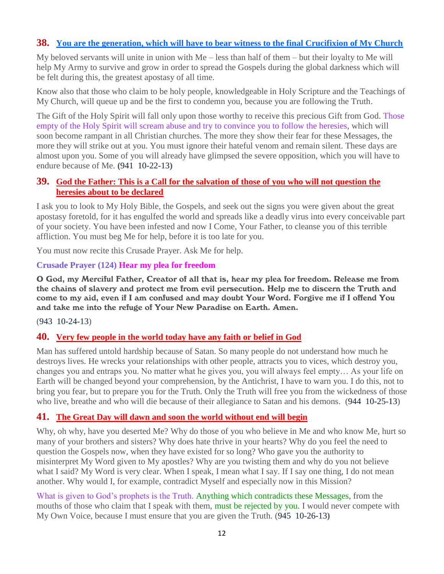## **38. [You are the generation, which will have to bear witness to the final Crucifixion of My Church](http://www.thewarningsecondcoming.com/you-are-the-generation-which-will-have-to-bear-witness-to-the-final-crucifixion-of-my-church/)**

My beloved servants will unite in union with Me – less than half of them – but their loyalty to Me will help My Army to survive and grow in order to spread the Gospels during the global darkness which will be felt during this, the greatest apostasy of all time.

Know also that those who claim to be holy people, knowledgeable in Holy Scripture and the Teachings of My Church, will queue up and be the first to condemn you, because you are following the Truth.

The Gift of the Holy Spirit will fall only upon those worthy to receive this precious Gift from God. Those empty of the Holy Spirit will scream abuse and try to convince you to follow the heresies, which will soon become rampant in all Christian churches. The more they show their fear for these Messages, the more they will strike out at you. You must ignore their hateful venom and remain silent. These days are almost upon you. Some of you will already have glimpsed the severe opposition, which you will have to endure because of Me. **(**941 10-22-13**)**

#### **39. [God the Father: This is a Call for the salvation of those of you who will not question the](http://www.thewarningsecondcoming.com/god-the-father-this-is-a-call-for-the-salvation-of-those-of-you-who-will-not-question-the-heresies-about-to-be-declared/)  [heresies about to be declared](http://www.thewarningsecondcoming.com/god-the-father-this-is-a-call-for-the-salvation-of-those-of-you-who-will-not-question-the-heresies-about-to-be-declared/)**

I ask you to look to My Holy Bible, the Gospels, and seek out the signs you were given about the great apostasy foretold, for it has engulfed the world and spreads like a deadly virus into every conceivable part of your society. You have been infested and now I Come, Your Father, to cleanse you of this terrible affliction. You must beg Me for help, before it is too late for you.

You must now recite this Crusade Prayer. Ask Me for help.

#### **Crusade Prayer (124) Hear my plea for freedom**

O God, my Merciful Father, Creator of all that is, hear my plea for freedom. Release me from the chains of slavery and protect me from evil persecution. Help me to discern the Truth and come to my aid, even if I am confused and may doubt Your Word. Forgive me if I offend You and take me into the refuge of Your New Paradise on Earth. Amen.

#### (943 10-24-13)

#### **40. [Very few people in the world today have any faith or belief in God](http://www.thewarningsecondcoming.com/very-few-people-in-the-world-today-have-any-faith-or-belief-in-god/)**

Man has suffered untold hardship because of Satan. So many people do not understand how much he destroys lives. He wrecks your relationships with other people, attracts you to vices, which destroy you, changes you and entraps you. No matter what he gives you, you will always feel empty… As your life on Earth will be changed beyond your comprehension, by the Antichrist, I have to warn you. I do this, not to bring you fear, but to prepare you for the Truth. Only the Truth will free you from the wickedness of those who live, breathe and who will die because of their allegiance to Satan and his demons. (944 10-25-13)

#### **41. [The Great Day will dawn and soon the world without end will begin](http://www.thewarningsecondcoming.com/the-great-day-will-dawn-and-soon-the-world-without-end-will-begin/)**

Why, oh why, have you deserted Me? Why do those of you who believe in Me and who know Me, hurt so many of your brothers and sisters? Why does hate thrive in your hearts? Why do you feel the need to question the Gospels now, when they have existed for so long? Who gave you the authority to misinterpret My Word given to My apostles? Why are you twisting them and why do you not believe what I said? My Word is very clear. When I speak, I mean what I say. If I say one thing, I do not mean another. Why would I, for example, contradict Myself and especially now in this Mission?

What is given to God's prophets is the Truth. Anything which contradicts these Messages, from the mouths of those who claim that I speak with them, must be rejected by you. I would never compete with My Own Voice, because I must ensure that you are given the Truth. (945 10-26-13**)**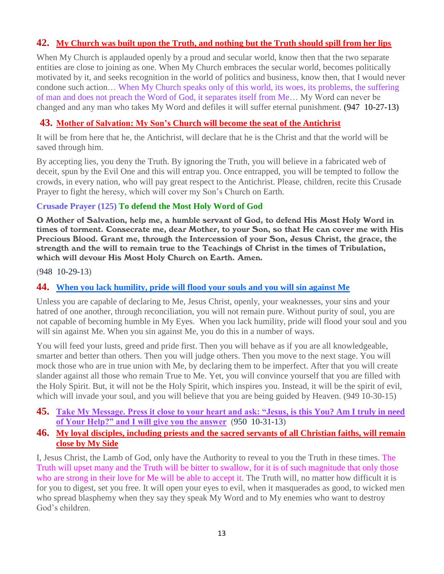# **42. [My Church was built upon the Truth, and nothing but the Truth should spill from her lips](http://www.thewarningsecondcoming.com/my-church-was-built-upon-the-truth-and-nothing-but-the-truth-should-spill-from-her-lips/)**

When My Church is applauded openly by a proud and secular world, know then that the two separate entities are close to joining as one. When My Church embraces the secular world, becomes politically motivated by it, and seeks recognition in the world of politics and business, know then, that I would never condone such action… When My Church speaks only of this world, its woes, its problems, the suffering of man and does not preach the Word of God, it separates itself from Me… My Word can never be changed and any man who takes My Word and defiles it will suffer eternal punishment. (947 10-27-13)

#### **43. [Mother of Salvation: My Son's Church will become the seat of the Antichrist](http://www.thewarningsecondcoming.com/mother-of-salvation-my-sons-church-will-become-the-seat-of-the-antichrist/)**

It will be from here that he, the Antichrist, will declare that he is the Christ and that the world will be saved through him.

By accepting lies, you deny the Truth. By ignoring the Truth, you will believe in a fabricated web of deceit, spun by the Evil One and this will entrap you. Once entrapped, you will be tempted to follow the crowds, in every nation, who will pay great respect to the Antichrist. Please, children, recite this Crusade Prayer to fight the heresy, which will cover my Son's Church on Earth.

#### **Crusade Prayer (125) To defend the Most Holy Word of God**

O Mother of Salvation, help me, a humble servant of God, to defend His Most Holy Word in times of torment. Consecrate me, dear Mother, to your Son, so that He can cover me with His Precious Blood. Grant me, through the Intercession of your Son, Jesus Christ, the grace, the strength and the will to remain true to the Teachings of Christ in the times of Tribulation, which will devour His Most Holy Church on Earth. Amen.

(948 10-29-13)

#### **44. [When you lack humility, pride will flood your souls and you will sin against Me](http://www.thewarningsecondcoming.com/when-you-lack-humility-pride-will-flood-your-souls-and-you-will-sin-against-me/)**

Unless you are capable of declaring to Me, Jesus Christ, openly, your weaknesses, your sins and your hatred of one another, through reconciliation, you will not remain pure. Without purity of soul, you are not capable of becoming humble in My Eyes. When you lack humility, pride will flood your soul and you will sin against Me. When you sin against Me, you do this in a number of ways.

You will feed your lusts, greed and pride first. Then you will behave as if you are all knowledgeable, smarter and better than others. Then you will judge others. Then you move to the next stage. You will mock those who are in true union with Me, by declaring them to be imperfect. After that you will create slander against all those who remain True to Me. Yet, you will convince yourself that you are filled with the Holy Spirit. But, it will not be the Holy Spirit, which inspires you. Instead, it will be the spirit of evil, which will invade your soul, and you will believe that you are being guided by Heaven. (949 10-30-15)

- **45. Take My Message. Press it close to your heart and ask: "Jesus, is this You? Am I truly in need of Your Help?" and I will give you the answer** (950 10-31-13)
- **46. [My loyal disciples, including priests and the sacred servants of all Christian faiths, will remain](http://www.thewarningsecondcoming.com/my-loyal-disciples-including-priests-and-the-sacred-servants-of-all-christian-faiths-will-remain-close-by-my-side/)  [close by My Side](http://www.thewarningsecondcoming.com/my-loyal-disciples-including-priests-and-the-sacred-servants-of-all-christian-faiths-will-remain-close-by-my-side/)**

I, Jesus Christ, the Lamb of God, only have the Authority to reveal to you the Truth in these times. The Truth will upset many and the Truth will be bitter to swallow, for it is of such magnitude that only those who are strong in their love for Me will be able to accept it. The Truth will, no matter how difficult it is for you to digest, set you free. It will open your eyes to evil, when it masquerades as good, to wicked men who spread blasphemy when they say they speak My Word and to My enemies who want to destroy God's children.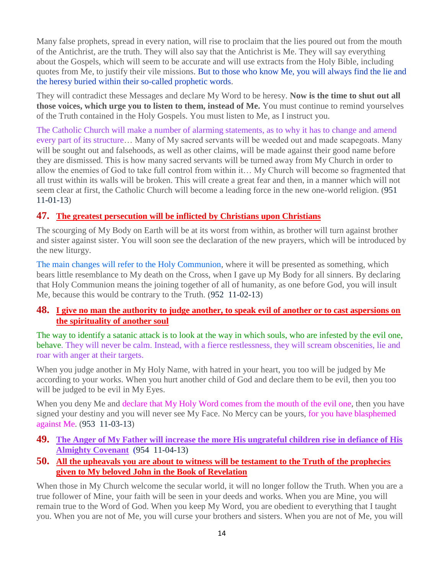Many false prophets, spread in every nation, will rise to proclaim that the lies poured out from the mouth of the Antichrist, are the truth. They will also say that the Antichrist is Me. They will say everything about the Gospels, which will seem to be accurate and will use extracts from the Holy Bible, including quotes from Me, to justify their vile missions. But to those who know Me, you will always find the lie and the heresy buried within their so-called prophetic words.

They will contradict these Messages and declare My Word to be heresy. **Now is the time to shut out all those voices, which urge you to listen to them, instead of Me.** You must continue to remind yourselves of the Truth contained in the Holy Gospels. You must listen to Me, as I instruct you.

The Catholic Church will make a number of alarming statements, as to why it has to change and amend every part of its structure… Many of My sacred servants will be weeded out and made scapegoats. Many will be sought out and falsehoods, as well as other claims, will be made against their good name before they are dismissed. This is how many sacred servants will be turned away from My Church in order to allow the enemies of God to take full control from within it… My Church will become so fragmented that all trust within its walls will be broken. This will create a great fear and then, in a manner which will not seem clear at first, the Catholic Church will become a leading force in the new one-world religion. (951 11-01-13)

# **47. [The greatest persecution will be inflicted by Christians upon Christians](http://www.thewarningsecondcoming.com/the-greatest-persecution-will-be-inflicted-by-christians-upon-christians/)**

The scourging of My Body on Earth will be at its worst from within, as brother will turn against brother and sister against sister. You will soon see the declaration of the new prayers, which will be introduced by the new liturgy.

The main changes will refer to the Holy Communion, where it will be presented as something, which bears little resemblance to My death on the Cross, when I gave up My Body for all sinners. By declaring that Holy Communion means the joining together of all of humanity, as one before God, you will insult Me, because this would be contrary to the Truth. (952 11-02-13)

#### **48. [I give no man the authority to judge another, to speak evil of another or to cast aspersions on](http://www.thewarningsecondcoming.com/i-give-no-man-the-authority-to-judge-another-to-speak-evil-of-another-or-to-cast-aspersions-on-the-spirituality-of-another-soul/)  [the spirituality of another soul](http://www.thewarningsecondcoming.com/i-give-no-man-the-authority-to-judge-another-to-speak-evil-of-another-or-to-cast-aspersions-on-the-spirituality-of-another-soul/)**

The way to identify a satanic attack is to look at the way in which souls, who are infested by the evil one, behave. They will never be calm. Instead, with a fierce restlessness, they will scream obscenities, lie and roar with anger at their targets.

When you judge another in My Holy Name, with hatred in your heart, you too will be judged by Me according to your works. When you hurt another child of God and declare them to be evil, then you too will be judged to be evil in My Eyes.

When you deny Me and declare that My Holy Word comes from the mouth of the evil one, then you have signed your destiny and you will never see My Face. No Mercy can be yours, for you have blasphemed against Me. (953 11-03-13)

- **49. The [Anger of My Father will increase the more His ungrateful children rise in defiance of His](http://www.thewarningsecondcoming.com/the-anger-of-my-father-will-increase-the-more-his-ungrateful-children-rise-in-defiance-of-his-almighty-covenant/)  [Almighty Covenant](http://www.thewarningsecondcoming.com/the-anger-of-my-father-will-increase-the-more-his-ungrateful-children-rise-in-defiance-of-his-almighty-covenant/)** (954 11-04-13)
- **50. [All the upheavals you are about to witness will be testament to the Truth of the prophecies](http://www.thewarningsecondcoming.com/all-the-upheavals-you-are-about-to-witness-will-be-testament-to-the-truth-of-the-prophecies-given-to-my-beloved-john-in-the-book-of-revelation/)  [given to My beloved John in the Book of Revelation](http://www.thewarningsecondcoming.com/all-the-upheavals-you-are-about-to-witness-will-be-testament-to-the-truth-of-the-prophecies-given-to-my-beloved-john-in-the-book-of-revelation/)**

When those in My Church welcome the secular world, it will no longer follow the Truth. When you are a true follower of Mine, your faith will be seen in your deeds and works. When you are Mine, you will remain true to the Word of God. When you keep My Word, you are obedient to everything that I taught you. When you are not of Me, you will curse your brothers and sisters. When you are not of Me, you will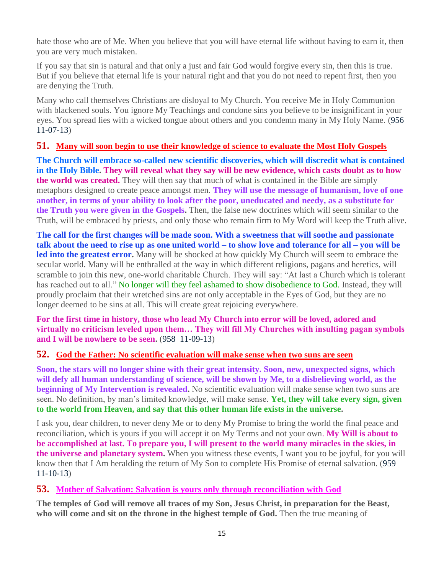hate those who are of Me. When you believe that you will have eternal life without having to earn it, then you are very much mistaken.

If you say that sin is natural and that only a just and fair God would forgive every sin, then this is true. But if you believe that eternal life is your natural right and that you do not need to repent first, then you are denying the Truth.

Many who call themselves Christians are disloyal to My Church. You receive Me in Holy Communion with blackened souls. You ignore My Teachings and condone sins you believe to be insignificant in your eyes. You spread lies with a wicked tongue about others and you condemn many in My Holy Name. (956 11-07-13)

# **51. [Many will soon begin to use their knowledge of science to evaluate the Most Holy Gospels](http://www.thewarningsecondcoming.com/many-will-soon-begin-to-use-their-knowledge-of-science-to-evaluate-the-most-holy-gospels/)**

**The Church will embrace so-called new scientific discoveries, which will discredit what is contained in the Holy Bible. They will reveal what they say will be new evidence, which casts doubt as to how the world was created.** They will then say that much of what is contained in the Bible are simply metaphors designed to create peace amongst men. **They will use the message of humanism, love of one another, in terms of your ability to look after the poor, uneducated and needy, as a substitute for the Truth you were given in the Gospels.** Then, the false new doctrines which will seem similar to the Truth, will be embraced by priests, and only those who remain firm to My Word will keep the Truth alive.

**The call for the first changes will be made soon. With a sweetness that will soothe and passionate talk about the need to rise up as one united world – to show love and tolerance for all – you will be led into the greatest error.** Many will be shocked at how quickly My Church will seem to embrace the secular world. Many will be enthralled at the way in which different religions, pagans and heretics, will scramble to join this new, one-world charitable Church. They will say: "At last a Church which is tolerant has reached out to all." No longer will they feel ashamed to show disobedience to God. Instead, they will proudly proclaim that their wretched sins are not only acceptable in the Eyes of God, but they are no longer deemed to be sins at all. This will create great rejoicing everywhere.

**For the first time in history, those who lead My Church into error will be loved, adored and virtually no criticism leveled upon them… They will fill My Churches with insulting pagan symbols and I will be nowhere to be seen.** (958 11-09-13)

#### **52. [God the Father: No scientific evaluation will make sense when two suns are seen](http://www.thewarningsecondcoming.com/god-the-father-no-scientific-evaluation-will-make-sense-when-two-suns-are-seen/)**

**Soon, the stars will no longer shine with their great intensity. Soon, new, unexpected signs, which will defy all human understanding of science, will be shown by Me, to a disbelieving world, as the beginning of My Intervention is revealed.** No scientific evaluation will make sense when two suns are seen. No definition, by man's limited knowledge, will make sense. **Yet, they will take every sign, given to the world from Heaven, and say that this other human life exists in the universe.**

I ask you, dear children, to never deny Me or to deny My Promise to bring the world the final peace and reconciliation, which is yours if you will accept it on My Terms and not your own. **My Will is about to be accomplished at last. To prepare you, I will present to the world many miracles in the skies, in the universe and planetary system.** When you witness these events, I want you to be joyful, for you will know then that I Am heralding the return of My Son to complete His Promise of eternal salvation. (959 11-10-13)

#### **53. [Mother of Salvation: Salvation is yours only through reconciliation with God](http://www.thewarningsecondcoming.com/mother-of-salvation-salvation-is-yours-only-through-reconciliation-with-god/)**

**The temples of God will remove all traces of my Son, Jesus Christ, in preparation for the Beast, who will come and sit on the throne in the highest temple of God.** Then the true meaning of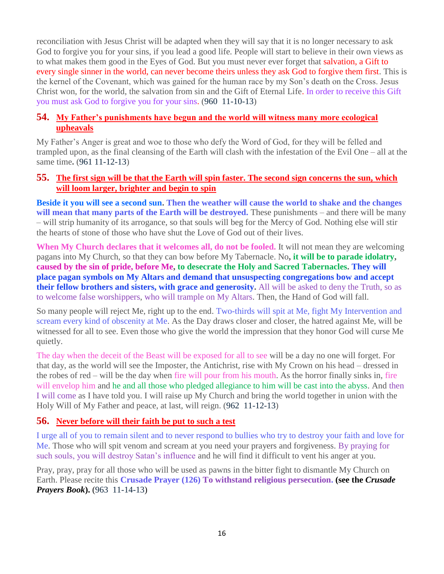reconciliation with Jesus Christ will be adapted when they will say that it is no longer necessary to ask God to forgive you for your sins, if you lead a good life. People will start to believe in their own views as to what makes them good in the Eyes of God. But you must never ever forget that salvation, a Gift to every single sinner in the world, can never become theirs unless they ask God to forgive them first. This is the kernel of the Covenant, which was gained for the human race by my Son's death on the Cross. Jesus Christ won, for the world, the salvation from sin and the Gift of Eternal Life. In order to receive this Gift you must ask God to forgive you for your sins. (960 11-10-13)

## **54. [My Father's punishments have begun and the world will witness many more ecological](http://www.thewarningsecondcoming.com/my-fathers-punishments-have-begun-and-the-world-will-witness-many-more-ecological-upheavals/)  [upheavals](http://www.thewarningsecondcoming.com/my-fathers-punishments-have-begun-and-the-world-will-witness-many-more-ecological-upheavals/)**

My Father's Anger is great and woe to those who defy the Word of God, for they will be felled and trampled upon, as the final cleansing of the Earth will clash with the infestation of the Evil One – all at the same time**.** (961 11-12-13)

#### **55. [The first sign will be that the Earth will spin faster. The second sign concerns the sun, which](http://www.thewarningsecondcoming.com/the-first-sign-will-be-that-the-earth-will-spin-faster-the-second-sign-concerns-the-sun-which-will-loom-larger-brighter-and-begin-to-spin/)  [will loom larger, brighter and begin to spin](http://www.thewarningsecondcoming.com/the-first-sign-will-be-that-the-earth-will-spin-faster-the-second-sign-concerns-the-sun-which-will-loom-larger-brighter-and-begin-to-spin/)**

**Beside it you will see a second sun. Then the weather will cause the world to shake and the changes will mean that many parts of the Earth will be destroyed.** These punishments – and there will be many – will strip humanity of its arrogance, so that souls will beg for the Mercy of God. Nothing else will stir the hearts of stone of those who have shut the Love of God out of their lives.

**When My Church declares that it welcomes all, do not be fooled.** It will not mean they are welcoming pagans into My Church, so that they can bow before My Tabernacle. No**, it will be to parade idolatry, caused by the sin of pride, before Me, to desecrate the Holy and Sacred Tabernacles. They will place pagan symbols on My Altars and demand that unsuspecting congregations bow and accept their fellow brothers and sisters, with grace and generosity.** All will be asked to deny the Truth, so as to welcome false worshippers, who will trample on My Altars. Then, the Hand of God will fall.

So many people will reject Me, right up to the end. Two-thirds will spit at Me, fight My Intervention and scream every kind of obscenity at Me. As the Day draws closer and closer, the hatred against Me, will be witnessed for all to see. Even those who give the world the impression that they honor God will curse Me quietly.

The day when the deceit of the Beast will be exposed for all to see will be a day no one will forget. For that day, as the world will see the Imposter, the Antichrist, rise with My Crown on his head – dressed in the robes of red – will be the day when fire will pour from his mouth. As the horror finally sinks in, fire will envelop him and he and all those who pledged allegiance to him will be cast into the abyss. And then I will come as I have told you. I will raise up My Church and bring the world together in union with the Holy Will of My Father and peace, at last, will reign. (962 11-12-13)

#### **56. [Never before will their faith be put to such a test](http://www.thewarningsecondcoming.com/never-before-will-their-faith-be-put-to-such-a-test/)**

I urge all of you to remain silent and to never respond to bullies who try to destroy your faith and love for Me. Those who will spit venom and scream at you need your prayers and forgiveness. By praying for such souls, you will destroy Satan's influence and he will find it difficult to vent his anger at you.

Pray, pray, pray for all those who will be used as pawns in the bitter fight to dismantle My Church on Earth. Please recite this **Crusade Prayer (126) To withstand religious persecution. (see the** *Crusade Prayers Book*). (963 11-14-13)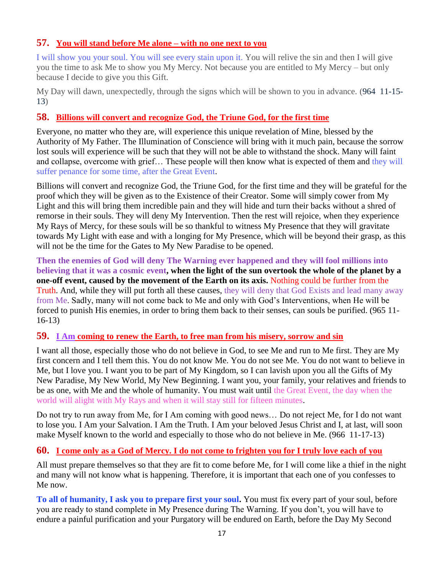## **57. [You will stand before Me alone –](http://www.thewarningsecondcoming.com/you-will-stand-before-me-alone-with-no-one-next-to-you/) with no one next to you**

I will show you your soul. You will see every stain upon it. You will relive the sin and then I will give you the time to ask Me to show you My Mercy. Not because you are entitled to My Mercy – but only because I decide to give you this Gift.

My Day will dawn, unexpectedly, through the signs which will be shown to you in advance. (964 11-15- 13)

## **58. [Billions will convert and recognize God, the Triune God, for the first time](http://www.thewarningsecondcoming.com/billions-will-convert-and-recognise-god-the-triune-god-for-the-first-time/)**

Everyone, no matter who they are, will experience this unique revelation of Mine, blessed by the Authority of My Father. The Illumination of Conscience will bring with it much pain, because the sorrow lost souls will experience will be such that they will not be able to withstand the shock. Many will faint and collapse, overcome with grief… These people will then know what is expected of them and they will suffer penance for some time, after the Great Event.

Billions will convert and recognize God, the Triune God, for the first time and they will be grateful for the proof which they will be given as to the Existence of their Creator. Some will simply cower from My Light and this will bring them incredible pain and they will hide and turn their backs without a shred of remorse in their souls. They will deny My Intervention. Then the rest will rejoice, when they experience My Rays of Mercy, for these souls will be so thankful to witness My Presence that they will gravitate towards My Light with ease and with a longing for My Presence, which will be beyond their grasp, as this will not be the time for the Gates to My New Paradise to be opened.

**Then the enemies of God will deny The Warning ever happened and they will fool millions into believing that it was a cosmic event, when the light of the sun overtook the whole of the planet by a one-off event, caused by the movement of the Earth on its axis.** Nothing could be further from the Truth. And, while they will put forth all these causes, they will deny that God Exists and lead many away from Me. Sadly, many will not come back to Me and only with God's Interventions, when He will be forced to punish His enemies, in order to bring them back to their senses, can souls be purified. (965 11- 16-13)

#### **59. I Am [coming to renew the Earth, to free man from his misery, sorrow and sin](http://www.thewarningsecondcoming.com/i-am-coming-to-renew-the-earth-to-free-man-from-his-misery-sorrow-and-sin/)**

I want all those, especially those who do not believe in God, to see Me and run to Me first. They are My first concern and I tell them this. You do not know Me. You do not see Me. You do not want to believe in Me, but I love you. I want you to be part of My Kingdom, so I can lavish upon you all the Gifts of My New Paradise, My New World, My New Beginning. I want you, your family, your relatives and friends to be as one, with Me and the whole of humanity. You must wait until the Great Event, the day when the world will alight with My Rays and when it will stay still for fifteen minutes.

Do not try to run away from Me, for I Am coming with good news… Do not reject Me, for I do not want to lose you. I Am your Salvation. I Am the Truth. I Am your beloved Jesus Christ and I, at last, will soon make Myself known to the world and especially to those who do not believe in Me. (966 11-17-13)

# **60. [I come only as a God of Mercy. I do not come to frighten you for I truly love each of you](http://www.thewarningsecondcoming.com/i-come-only-as-a-god-of-mercy-i-do-not-come-to-frighten-you-for-i-truly-love-each-of-you/)**

All must prepare themselves so that they are fit to come before Me, for I will come like a thief in the night and many will not know what is happening. Therefore, it is important that each one of you confesses to Me now.

**To all of humanity, I ask you to prepare first your soul.** You must fix every part of your soul, before you are ready to stand complete in My Presence during The Warning. If you don't, you will have to endure a painful purification and your Purgatory will be endured on Earth, before the Day My Second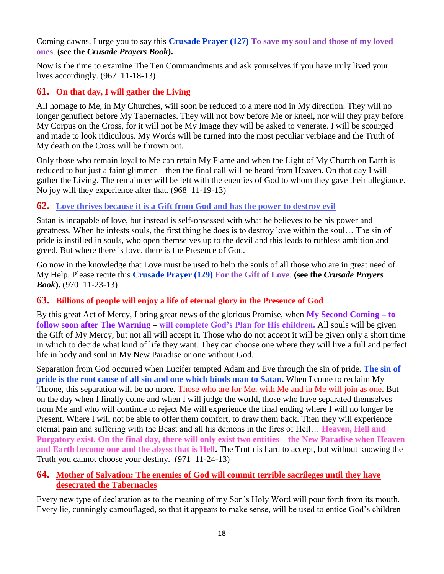Coming dawns. I urge you to say this **Crusade Prayer (127) To save my soul and those of my loved ones**. **(see the** *Crusade Prayers Book***).** 

Now is the time to examine The Ten Commandments and ask yourselves if you have truly lived your lives accordingly. (967 11-18-13)

# **61. [On that day, I will gather the Living](http://www.thewarningsecondcoming.com/on-that-day-i-will-gather-the-living/)**

All homage to Me, in My Churches, will soon be reduced to a mere nod in My direction. They will no longer genuflect before My Tabernacles. They will not bow before Me or kneel, nor will they pray before My Corpus on the Cross, for it will not be My Image they will be asked to venerate. I will be scourged and made to look ridiculous. My Words will be turned into the most peculiar verbiage and the Truth of My death on the Cross will be thrown out.

Only those who remain loyal to Me can retain My Flame and when the Light of My Church on Earth is reduced to but just a faint glimmer – then the final call will be heard from Heaven. On that day I will gather the Living. The remainder will be left with the enemies of God to whom they gave their allegiance. No joy will they experience after that. (968 11-19-13)

## **62. [Love thrives because it is a Gift from God and has the power to destroy evil](http://www.thewarningsecondcoming.com/love-thrives-because-it-is-a-gift-from-god-and-has-the-power-to-destroy-evil/)**

Satan is incapable of love, but instead is self-obsessed with what he believes to be his power and greatness. When he infests souls, the first thing he does is to destroy love within the soul… The sin of pride is instilled in souls, who open themselves up to the devil and this leads to ruthless ambition and greed. But where there is love, there is the Presence of God.

Go now in the knowledge that Love must be used to help the souls of all those who are in great need of My Help. Please recite this **Crusade Prayer (129) For the Gift of Love**. **(see the** *Crusade Prayers Book***).** (970 11-23-13)

#### **63. [Billions of people will enjoy a life of eternal glory in the Presence of God](http://www.thewarningsecondcoming.com/billions-of-people-will-enjoy-a-life-of-eternal-glory-in-the-presence-of-god/)**

By this great Act of Mercy, I bring great news of the glorious Promise, when **My Second Coming – to follow soon after The Warning – will complete God's Plan for His children.** All souls will be given the Gift of My Mercy, but not all will accept it. Those who do not accept it will be given only a short time in which to decide what kind of life they want. They can choose one where they will live a full and perfect life in body and soul in My New Paradise or one without God.

Separation from God occurred when Lucifer tempted Adam and Eve through the sin of pride. **The sin of pride is the root cause of all sin and one which binds man to Satan.** When I come to reclaim My Throne, this separation will be no more. Those who are for Me, with Me and in Me will join as one. But on the day when I finally come and when I will judge the world, those who have separated themselves from Me and who will continue to reject Me will experience the final ending where I will no longer be Present. Where I will not be able to offer them comfort, to draw them back. Then they will experience eternal pain and suffering with the Beast and all his demons in the fires of Hell… **Heaven, Hell and Purgatory exist. On the final day, there will only exist two entities – the New Paradise when Heaven and Earth become one and the abyss that is Hell.** The Truth is hard to accept, but without knowing the Truth you cannot choose your destiny. (971 11-24-13)

## **64. [Mother of Salvation: The enemies of God will commit terrible sacrileges until they have](http://www.thewarningsecondcoming.com/mother-of-salvation-the-enemies-of-god-will-commit-terrible-sacrileges-until-they-have-desecrated-the-tabernacles-2/)  [desecrated the Tabernacles](http://www.thewarningsecondcoming.com/mother-of-salvation-the-enemies-of-god-will-commit-terrible-sacrileges-until-they-have-desecrated-the-tabernacles-2/)**

Every new type of declaration as to the meaning of my Son's Holy Word will pour forth from its mouth. Every lie, cunningly camouflaged, so that it appears to make sense, will be used to entice God's children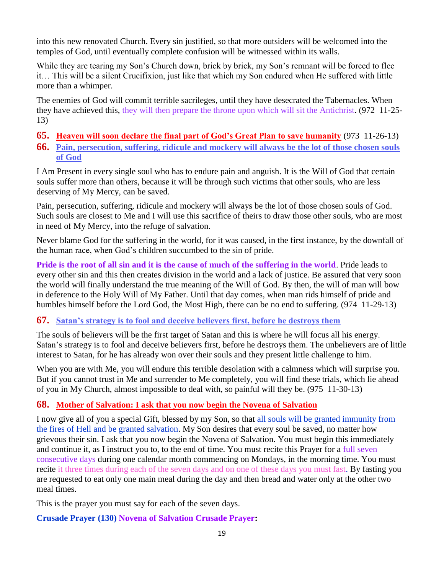into this new renovated Church. Every sin justified, so that more outsiders will be welcomed into the temples of God, until eventually complete confusion will be witnessed within its walls.

While they are tearing my Son's Church down, brick by brick, my Son's remnant will be forced to flee it… This will be a silent Crucifixion, just like that which my Son endured when He suffered with little more than a whimper.

The enemies of God will commit terrible sacrileges, until they have desecrated the Tabernacles. When they have achieved this, they will then prepare the throne upon which will sit the Antichrist. (972 11-25- 13)

- **65. [Heaven will soon declare the final part of God's Great Plan to save humanity](http://www.thewarningsecondcoming.com/heaven-will-soon-declare-the-final-part-of-gods-great-plan-to-save-humanity/)** (973 11-26-13)
- **66. [Pain, persecution, suffering, ridicule and mockery will always be the lot of those chosen souls](http://www.thewarningsecondcoming.com/pain-persecution-suffering-ridicule-and-mockery-will-always-be-the-lot-of-those-chosen-souls-of-god/)  [of God](http://www.thewarningsecondcoming.com/pain-persecution-suffering-ridicule-and-mockery-will-always-be-the-lot-of-those-chosen-souls-of-god/)**

I Am Present in every single soul who has to endure pain and anguish. It is the Will of God that certain souls suffer more than others, because it will be through such victims that other souls, who are less deserving of My Mercy, can be saved.

Pain, persecution, suffering, ridicule and mockery will always be the lot of those chosen souls of God. Such souls are closest to Me and I will use this sacrifice of theirs to draw those other souls, who are most in need of My Mercy, into the refuge of salvation.

Never blame God for the suffering in the world, for it was caused, in the first instance, by the downfall of the human race, when God's children succumbed to the sin of pride.

**Pride is the root of all sin and it is the cause of much of the suffering in the world**. Pride leads to every other sin and this then creates division in the world and a lack of justice. Be assured that very soon the world will finally understand the true meaning of the Will of God. By then, the will of man will bow in deference to the Holy Will of My Father. Until that day comes, when man rids himself of pride and humbles himself before the Lord God, the Most High, there can be no end to suffering. (974 11-29-13)

# **67. [Satan's strategy is to fool and deceive believers first, before he destroys them](http://www.thewarningsecondcoming.com/satans-strategy-is-to-fool-and-deceive-believers-first-before-he-destroys-them/)**

The souls of believers will be the first target of Satan and this is where he will focus all his energy. Satan's strategy is to fool and deceive believers first, before he destroys them. The unbelievers are of little interest to Satan, for he has already won over their souls and they present little challenge to him.

When you are with Me, you will endure this terrible desolation with a calmness which will surprise you. But if you cannot trust in Me and surrender to Me completely, you will find these trials, which lie ahead of you in My Church, almost impossible to deal with, so painful will they be. (975 11-30-13)

# **68. [Mother of Salvation: I ask that you now begin the Novena of Salvation](http://www.thewarningsecondcoming.com/mother-of-salvation-i-ask-that-you-now-begin-the-novena-of-salvation/)**

I now give all of you a special Gift, blessed by my Son, so that all souls will be granted immunity from the fires of Hell and be granted salvation. My Son desires that every soul be saved, no matter how grievous their sin. I ask that you now begin the Novena of Salvation. You must begin this immediately and continue it, as I instruct you to, to the end of time. You must recite this Prayer for a full seven consecutive days during one calendar month commencing on Mondays, in the morning time. You must recite it three times during each of the seven days and on one of these days you must fast. By fasting you are requested to eat only one main meal during the day and then bread and water only at the other two meal times.

This is the prayer you must say for each of the seven days.

**Crusade Prayer (130) Novena of Salvation Crusade Prayer:**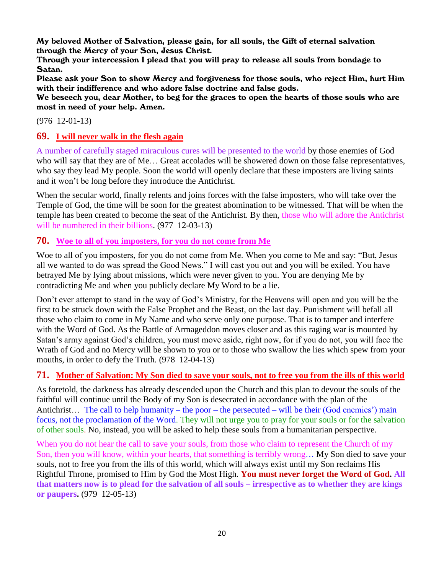My beloved Mother of Salvation, please gain, for all souls, the Gift of eternal salvation through the Mercy of your Son, Jesus Christ.

Through your intercession I plead that you will pray to release all souls from bondage to Satan.

Please ask your Son to show Mercy and forgiveness for those souls, who reject Him, hurt Him with their indifference and who adore false doctrine and false gods.

We beseech you, dear Mother, to beg for the graces to open the hearts of those souls who are most in need of your help. Amen.

(976 12-01-13)

## **69. [I will never walk in the flesh again](http://www.thewarningsecondcoming.com/i-will-never-walk-in-the-flesh-again/)**

A number of carefully staged miraculous cures will be presented to the world by those enemies of God who will say that they are of Me… Great accolades will be showered down on those false representatives, who say they lead My people. Soon the world will openly declare that these imposters are living saints and it won't be long before they introduce the Antichrist.

When the secular world, finally relents and joins forces with the false imposters, who will take over the Temple of God, the time will be soon for the greatest abomination to be witnessed. That will be when the temple has been created to become the seat of the Antichrist. By then, those who will adore the Antichrist will be numbered in their billions. (977 12-03-13)

## **70. [Woe to all of you imposters, for you do not come from Me](http://www.thewarningsecondcoming.com/woe-to-all-of-you-imposters-for-you-do-not-come-from-me/)**

Woe to all of you imposters, for you do not come from Me. When you come to Me and say: "But, Jesus all we wanted to do was spread the Good News." I will cast you out and you will be exiled. You have betrayed Me by lying about missions, which were never given to you. You are denying Me by contradicting Me and when you publicly declare My Word to be a lie.

Don't ever attempt to stand in the way of God's Ministry, for the Heavens will open and you will be the first to be struck down with the False Prophet and the Beast, on the last day. Punishment will befall all those who claim to come in My Name and who serve only one purpose. That is to tamper and interfere with the Word of God. As the Battle of Armageddon moves closer and as this raging war is mounted by Satan's army against God's children, you must move aside, right now, for if you do not, you will face the Wrath of God and no Mercy will be shown to you or to those who swallow the lies which spew from your mouths, in order to defy the Truth. (978 12-04-13)

#### **71. [Mother of Salvation: My Son died to save your souls, not to free you from the ills of this world](http://www.thewarningsecondcoming.com/mother-of-salvation-my-son-died-to-save-your-souls-not-to-free-you-from-the-ills-of-this-world/)**

As foretold, the darkness has already descended upon the Church and this plan to devour the souls of the faithful will continue until the Body of my Son is desecrated in accordance with the plan of the Antichrist… The call to help humanity – the poor – the persecuted – will be their (God enemies') main focus, not the proclamation of the Word. They will not urge you to pray for your souls or for the salvation of other souls. No, instead, you will be asked to help these souls from a humanitarian perspective.

When you do not hear the call to save your souls, from those who claim to represent the Church of my Son, then you will know, within your hearts, that something is terribly wrong… My Son died to save your souls, not to free you from the ills of this world, which will always exist until my Son reclaims His Rightful Throne, promised to Him by God the Most High. **You must never forget the Word of God. All that matters now is to plead for the salvation of all souls – irrespective as to whether they are kings or paupers.** (979 12-05-13)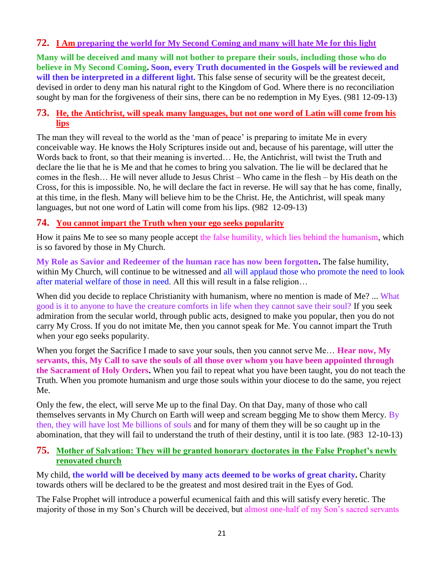## **72. I Am [preparing the world for My Second Coming and many will hate Me for this](http://www.thewarningsecondcoming.com/i-am-preparing-the-world-for-my-second-coming-and-many-will-hate-me-for-this/) light**

**Many will be deceived and many will not bother to prepare their souls, including those who do believe in My Second Coming. Soon, every Truth documented in the Gospels will be reviewed and will then be interpreted in a different light.** This false sense of security will be the greatest deceit, devised in order to deny man his natural right to the Kingdom of God. Where there is no reconciliation sought by man for the forgiveness of their sins, there can be no redemption in My Eyes. (981 12-09-13)

#### **73. [He, the Antichrist, will speak many languages, but not one word of Latin will come from his](http://www.thewarningsecondcoming.com/he-the-antichrist-will-speak-many-languages-but-not-one-word-of-latin-will-come-from-his-lips/)  [lips](http://www.thewarningsecondcoming.com/he-the-antichrist-will-speak-many-languages-but-not-one-word-of-latin-will-come-from-his-lips/)**

The man they will reveal to the world as the 'man of peace' is preparing to imitate Me in every conceivable way. He knows the Holy Scriptures inside out and, because of his parentage, will utter the Words back to front, so that their meaning is inverted… He, the Antichrist, will twist the Truth and declare the lie that he is Me and that he comes to bring you salvation. The lie will be declared that he comes in the flesh… He will never allude to Jesus Christ – Who came in the flesh – by His death on the Cross, for this is impossible. No, he will declare the fact in reverse. He will say that he has come, finally, at this time, in the flesh. Many will believe him to be the Christ. He, the Antichrist, will speak many languages, but not one word of Latin will come from his lips. (982 12-09-13)

#### **74. [You cannot impart the Truth when your ego seeks popularity](http://www.thewarningsecondcoming.com/you-cannot-impart-the-truth-when-your-ego-seeks-popularity/)**

How it pains Me to see so many people accept the false humility, which lies behind the humanism, which is so favored by those in My Church.

**My Role as Savior and Redeemer of the human race has now been forgotten.** The false humility, within My Church, will continue to be witnessed and all will applaud those who promote the need to look after material welfare of those in need. All this will result in a false religion…

When did you decide to replace Christianity with humanism, where no mention is made of Me? ... What good is it to anyone to have the creature comforts in life when they cannot save their soul? If you seek admiration from the secular world, through public acts, designed to make you popular, then you do not carry My Cross. If you do not imitate Me, then you cannot speak for Me. You cannot impart the Truth when your ego seeks popularity.

When you forget the Sacrifice I made to save your souls, then you cannot serve Me... **Hear now, My servants, this, My Call to save the souls of all those over whom you have been appointed through the Sacrament of Holy Orders.** When you fail to repeat what you have been taught, you do not teach the Truth. When you promote humanism and urge those souls within your diocese to do the same, you reject Me.

Only the few, the elect, will serve Me up to the final Day. On that Day, many of those who call themselves servants in My Church on Earth will weep and scream begging Me to show them Mercy. By then, they will have lost Me billions of souls and for many of them they will be so caught up in the abomination, that they will fail to understand the truth of their destiny, until it is too late. (983 12-10-13)

## **75. [Mother of Salvation: They will be granted honorary doctorates in the False Prophet's newly](http://www.thewarningsecondcoming.com/mother-of-salvation-they-will-be-granted-honorary-doctorates-in-the-false-prophets-newly-renovated-church/)  [renovated church](http://www.thewarningsecondcoming.com/mother-of-salvation-they-will-be-granted-honorary-doctorates-in-the-false-prophets-newly-renovated-church/)**

My child, **the world will be deceived by many acts deemed to be works of great charity.** Charity towards others will be declared to be the greatest and most desired trait in the Eyes of God.

The False Prophet will introduce a powerful ecumenical faith and this will satisfy every heretic. The majority of those in my Son's Church will be deceived, but almost one-half of my Son's sacred servants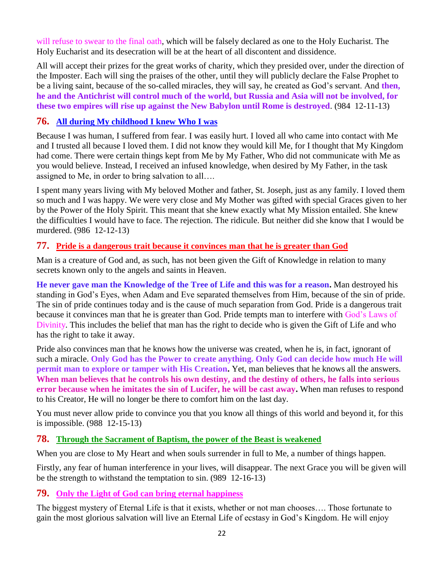will refuse to swear to the final oath, which will be falsely declared as one to the Holy Eucharist. The Holy Eucharist and its desecration will be at the heart of all discontent and dissidence.

All will accept their prizes for the great works of charity, which they presided over, under the direction of the Imposter. Each will sing the praises of the other, until they will publicly declare the False Prophet to be a living saint, because of the so-called miracles, they will say, he created as God's servant. And **then, he and the Antichrist will control much of the world, but Russia and Asia will not be involved, for these two empires will rise up against the New Babylon until Rome is destroyed**. (984 12-11-13)

# **76. [All during My childhood I knew Who I was](http://www.thewarningsecondcoming.com/all-during-my-childhood-i-knew-who-i-was/)**

Because I was human, I suffered from fear. I was easily hurt. I loved all who came into contact with Me and I trusted all because I loved them. I did not know they would kill Me, for I thought that My Kingdom had come. There were certain things kept from Me by My Father, Who did not communicate with Me as you would believe. Instead, I received an infused knowledge, when desired by My Father, in the task assigned to Me, in order to bring salvation to all….

I spent many years living with My beloved Mother and father, St. Joseph, just as any family. I loved them so much and I was happy. We were very close and My Mother was gifted with special Graces given to her by the Power of the Holy Spirit. This meant that she knew exactly what My Mission entailed. She knew the difficulties I would have to face. The rejection. The ridicule. But neither did she know that I would be murdered. (986 12-12-13)

# **77. [Pride is a dangerous trait because it convinces man that he is greater than God](http://www.thewarningsecondcoming.com/pride-is-a-dangerous-trait-because-it-convinces-man-that-he-is-greater-than-god/)**

Man is a creature of God and, as such, has not been given the Gift of Knowledge in relation to many secrets known only to the angels and saints in Heaven.

**He never gave man the Knowledge of the Tree of Life and this was for a reason.** Man destroyed his standing in God's Eyes, when Adam and Eve separated themselves from Him, because of the sin of pride. The sin of pride continues today and is the cause of much separation from God. Pride is a dangerous trait because it convinces man that he is greater than God. Pride tempts man to interfere with God's Laws of Divinity. This includes the belief that man has the right to decide who is given the Gift of Life and who has the right to take it away.

Pride also convinces man that he knows how the universe was created, when he is, in fact, ignorant of such a miracle. **Only God has the Power to create anything. Only God can decide how much He will permit man to explore or tamper with His Creation.** Yet, man believes that he knows all the answers. **When man believes that he controls his own destiny, and the destiny of others, he falls into serious error because when he imitates the sin of Lucifer, he will be cast away.** When man refuses to respond to his Creator, He will no longer be there to comfort him on the last day.

You must never allow pride to convince you that you know all things of this world and beyond it, for this is impossible. (988 12-15-13)

#### **78. [Through the Sacrament of Baptism, the power of the Beast is weakened](http://www.thewarningsecondcoming.com/through-the-sacrament-of-baptism-the-power-of-the-beast-is-weakened/)**

When you are close to My Heart and when souls surrender in full to Me, a number of things happen.

Firstly, any fear of human interference in your lives, will disappear. The next Grace you will be given will be the strength to withstand the temptation to sin. (989 12-16-13)

#### **79. [Only the Light of God can bring eternal happiness](http://www.thewarningsecondcoming.com/only-the-light-of-god-can-bring-eternal-happiness/)**

The biggest mystery of Eternal Life is that it exists, whether or not man chooses…. Those fortunate to gain the most glorious salvation will live an Eternal Life of ecstasy in God's Kingdom. He will enjoy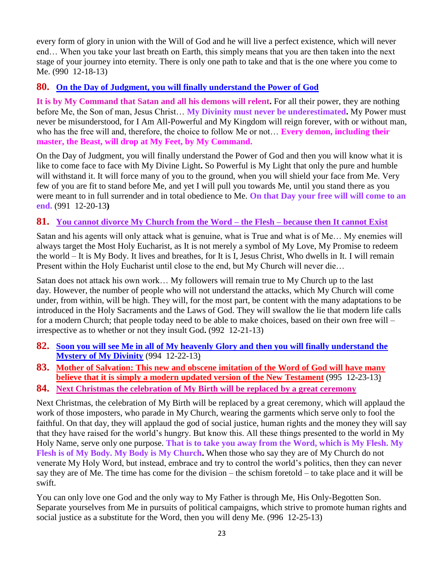every form of glory in union with the Will of God and he will live a perfect existence, which will never end… When you take your last breath on Earth, this simply means that you are then taken into the next stage of your journey into eternity. There is only one path to take and that is the one where you come to Me. (990 12-18-13)

# **80. [On the Day of Judgment, you will finally understand the Power of God](http://www.thewarningsecondcoming.com/on-the-day-of-judgement-you-will-finally-understand-the-power-of-god/)**

**It is by My Command that Satan and all his demons will relent.** For all their power, they are nothing before Me, the Son of man, Jesus Christ… **My Divinity must never be underestimated.** My Power must never be misunderstood, for I Am All-Powerful and My Kingdom will reign forever, with or without man, who has the free will and, therefore, the choice to follow Me or not… **Every demon, including their master, the Beast, will drop at My Feet, by My Command.**

On the Day of Judgment, you will finally understand the Power of God and then you will know what it is like to come face to face with My Divine Light**.** So Powerful is My Light that only the pure and humble will withstand it. It will force many of you to the ground, when you will shield your face from Me. Very few of you are fit to stand before Me, and yet I will pull you towards Me, until you stand there as you were meant to in full surrender and in total obedience to Me. **On that Day your free will will come to an end.** (991 12-20-13**)**

## **81. [You cannot divorce My Church from the Word –](http://www.thewarningsecondcoming.com/you-cannot-divorce-my-church-from-the-word-the-flesh-because-then-it-cannot-exist/) the Flesh – because then It cannot Exist**

Satan and his agents will only attack what is genuine, what is True and what is of Me… My enemies will always target the Most Holy Eucharist, as It is not merely a symbol of My Love, My Promise to redeem the world – It is My Body. It lives and breathes, for It is I, Jesus Christ, Who dwells in It. I will remain Present within the Holy Eucharist until close to the end, but My Church will never die…

Satan does not attack his own work… My followers will remain true to My Church up to the last day. However, the number of people who will not understand the attacks, which My Church will come under, from within, will be high. They will, for the most part, be content with the many adaptations to be introduced in the Holy Sacraments and the Laws of God. They will swallow the lie that modern life calls for a modern Church; that people today need to be able to make choices, based on their own free will – irrespective as to whether or not they insult God**.** (992 12-21-13)

- **82. [Soon you will see Me in all of My heavenly Glory and then you will finally understand the](http://www.thewarningsecondcoming.com/soon-you-will-see-me-in-all-of-my-heavenly-glory-and-then-you-will-finally-understand-the-mystery-of-my-divinity/)  [Mystery of My Divinity](http://www.thewarningsecondcoming.com/soon-you-will-see-me-in-all-of-my-heavenly-glory-and-then-you-will-finally-understand-the-mystery-of-my-divinity/)** (994 12-22-13)
- **83. [Mother of Salvation: This new and obscene imitation of the Word of God will have many](http://www.thewarningsecondcoming.com/mother-of-salvation-this-new-and-obscene-imitation-of-the-word-of-god-will-have-many-believe-that-it-is-simply-a-modern-updated-version-of-the-new-testament/)  [believe that it is simply a modern updated version of the New Testament](http://www.thewarningsecondcoming.com/mother-of-salvation-this-new-and-obscene-imitation-of-the-word-of-god-will-have-many-believe-that-it-is-simply-a-modern-updated-version-of-the-new-testament/)** (995 12-23-13)
- **84. [Next Christmas the celebration of My Birth will be replaced by a great ceremony](http://www.thewarningsecondcoming.com/next-christmas-the-celebration-of-my-birth-will-be-replaced-by-a-great-ceremony/)**

Next Christmas, the celebration of My Birth will be replaced by a great ceremony, which will applaud the work of those imposters, who parade in My Church, wearing the garments which serve only to fool the faithful. On that day, they will applaud the god of social justice, human rights and the money they will say that they have raised for the world's hungry. But know this. All these things presented to the world in My Holy Name, serve only one purpose. **That is to take you away from the Word, which is My Flesh. My Flesh is of My Body. My Body is My Church.** When those who say they are of My Church do not venerate My Holy Word, but instead, embrace and try to control the world's politics, then they can never say they are of Me. The time has come for the division – the schism foretold – to take place and it will be swift.

You can only love one God and the only way to My Father is through Me, His Only-Begotten Son. Separate yourselves from Me in pursuits of political campaigns, which strive to promote human rights and social justice as a substitute for the Word, then you will deny Me. (996 12-25-13)